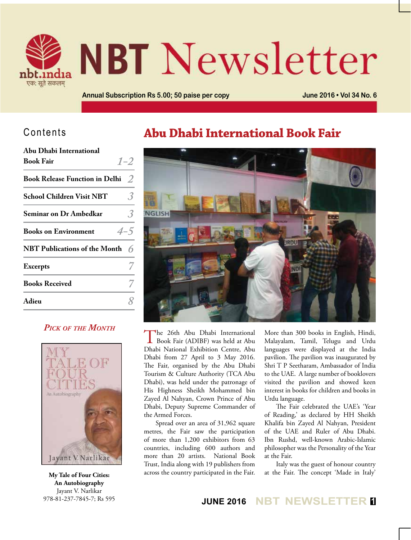

# **NBT** Newsletter

**Annual Subscription Rs 5.00; 50 paise per copy June 2016 • Vol 34 No. 6**

## Contents

| Abu Dhabi International                  |         |
|------------------------------------------|---------|
| <b>Book Fair</b>                         | $1 - 2$ |
| <b>Book Release Function in Delhi</b>    | 2       |
| <b>School Children Visit NBT</b>         |         |
| <b>Seminar on Dr Ambedkar</b>            |         |
| <b>Books on Environment</b>              | $4 - 5$ |
| NBT Publications of the Month $\epsilon$ |         |
| <b>Excerpts</b>                          |         |
| <b>Books Received</b>                    |         |
| Adieu                                    |         |
|                                          |         |

## *Pick of the Month*



**My Tale of Four Cities: An Autobiography** Jayant V. Narlikar 978-81-237-7845-7; Rs 595

## **Abu Dhabi International Book Fair**



The 26th Abu Dhabi International<br>Book Fair (ADIBF) was held at Abu Dhabi National Exhibition Centre, Abu Dhabi from 27 April to 3 May 2016. The Fair, organised by the Abu Dhabi Tourism & Culture Authority (TCA Abu Dhabi), was held under the patronage of His Highness Sheikh Mohammed bin Zayed Al Nahyan, Crown Prince of Abu Dhabi, Deputy Supreme Commander of the Armed Forces.

Spread over an area of 31,962 square metres, the Fair saw the participation of more than 1,200 exhibitors from 63 countries, including 600 authors and more than 20 artists. National Book Trust, India along with 19 publishers from across the country participated in the Fair.

More than 300 books in English, Hindi, Malayalam, Tamil, Telugu and Urdu languages were displayed at the India pavilion. The pavilion was inaugurated by Shri T P Seetharam, Ambassador of India to the UAE. A large number of booklovers visited the pavilion and showed keen interest in books for children and books in Urdu language.

The Fair celebrated the UAE's 'Year of Reading,' as declared by HH Sheikh Khalifa bin Zayed Al Nahyan, President of the UAE and Ruler of Abu Dhabi. Ibn Rushd, well-known Arabic-Islamic philosopher was the Personality of the Year at the Fair.

Italy was the guest of honour country at the Fair. The concept 'Made in Italy'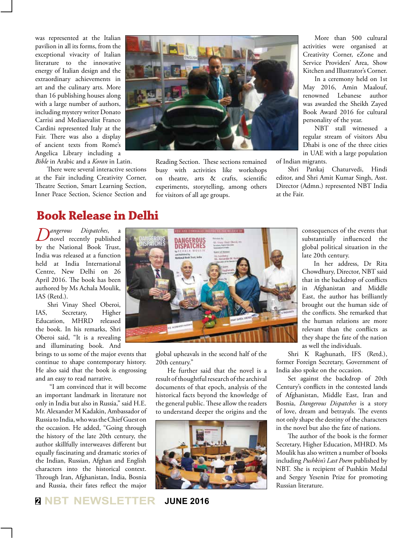was represented at the Italian pavilion in all its forms, from the exceptional vivacity of Italian literature to the innovative energy of Italian design and the extraordinary achievements in art and the culinary arts. More than 16 publishing houses along with a large number of authors, including mystery writer Donato Carrisi and Mediaevalist Franco Cardini represented Italy at the Fair. There was also a display of ancient texts from Rome's Angelica Library including a *Bible* in Arabic and a *Koran* in Latin.

There were several interactive sections at the Fair including Creativity Corner, Theatre Section, Smart Learning Section, Inner Peace Section, Science Section and



Reading Section. These sections remained busy with activities like workshops on theatre, arts & crafts, scientific experiments, storytelling, among others for visitors of all age groups.

More than 500 cultural activities were organised at Creativity Corner, eZone and Service Providers' Area, Show Kitchen and Illustrator's Corner.

In a ceremony held on 1st May 2016, Amin Maalouf, renowned Lebanese author was awarded the Sheikh Zayed Book Award 2016 for cultural personality of the year.

NBT stall witnessed a regular stream of visitors Abu Dhabi is one of the three cities in UAE with a large population of Indian migrants.

Shri Pankaj Chaturvedi, Hindi editor, and Shri Amit Kumar Singh, Asst. Director (Admn.) represented NBT India at the Fair.

## **Book Release in Delhi**

*Dangerous Dispatches*, a novel recently published by the National Book Trust, India was released at a function held at India International Centre, New Delhi on 26 April 2016. The book has been authored by Ms Achala Moulik, IAS (Retd.).

Shri Vinay Sheel Oberoi, IAS, Secretary, Higher Education, MHRD released the book. In his remarks, Shri Oberoi said, "It is a revealing and illuminating book. And

brings to us some of the major events that continue to shape contemporary history. He also said that the book is engrossing and an easy to read narrative.

 "I am convinced that it will become an important landmark in literature not only in India but also in Russia," said H.E. Mr. Alexander M Kadakin, Ambassador of Russia to India, who was the Chief Guest on the occasion. He added, "Going through the history of the late 20th century, the author skillfully interweaves different but equally fascinating and dramatic stories of the Indian, Russian, Afghan and English characters into the historical context. Through Iran, Afghanistan, India, Bosnia and Russia, their fates reflect the major



global upheavals in the second half of the 20th century."

He further said that the novel is a result of thoughtful research of the archival documents of that epoch, analysis of the historical facts beyond the knowledge of the general public. These allow the readers to understand deeper the origins and the



consequences of the events that substantially influenced the global political situation in the late 20th century.

In her address, Dr Rita Chowdhury, Director, NBT said that in the backdrop of conflicts in Afghanistan and Middle East, the author has brilliantly brought out the human side of the conflicts. She remarked that the human relations are more relevant than the conflicts as they shape the fate of the nation as well the individuals.

Shri K Raghunath, IFS (Retd.), former Foreign Secretary, Government of India also spoke on the occasion.

Set against the backdrop of 20th Century's conflicts in the contested lands of Afghanistan, Middle East, Iran and Bosnia, *Dangerous Dispatches* is a story of love, dream and betrayals. The events not only shape the destiny of the characters in the novel but also the fate of nations.

The author of the book is the former Secretary, Higher Education, MHRD. Ms Moulik has also written a number of books including *Pushkin's Last Poem* published by NBT. She is recipient of Pushkin Medal and Sergey Yesenin Prize for promoting Russian literature.

**<sup>2</sup> NBT NEWSLETTER JUNE 2016**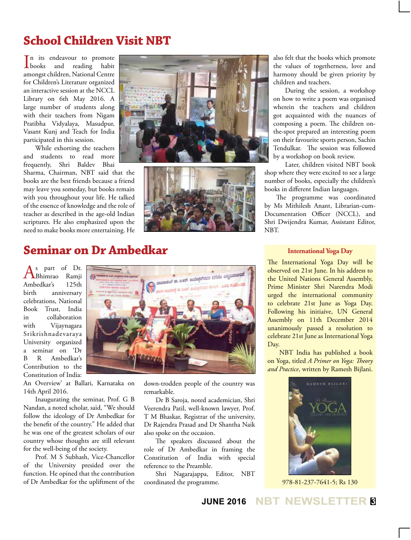# **School Children Visit NBT**

**L**books n its endeavour to promote and reading habit amongst children, National Centre for Children's Literature organized an interactive session at the NCCL Library on 6th May 2016. A large number of students along with their teachers from Nigam Pratibha Vidyalaya, Masudpur, Vasant Kunj and Teach for India participated in this session.

While exhorting the teachers and students to read more frequently, Shri Baldev Bhai

Sharma, Chairman, NBT said that the books are the best friends because a friend may leave you someday, but books remain with you throughout your life. He talked of the essence of knowledge and the role of teacher as described in the age-old Indian scriptures. He also emphasized upon the need to make books more entertaining. He





also felt that the books which promote the values of togetherness, love and harmony should be given priority by children and teachers.

During the session, a workshop on how to write a poem was organised wherein the teachers and children got acquainted with the nuances of composing a poem. The children onthe-spot prepared an interesting poem on their favourite sports person, Sachin Tendulkar. The session was followed by a workshop on book review.

Later, children visited NBT book shop where they were excited to see a large number of books, especially the children's books in different Indian languages.

The programme was coordinated by Ms Mithilesh Anant, Librarian-cum-Documentation Officer (NCCL), and Shri Dwijendra Kumar, Assistant Editor, NBT.

## **Seminar on Dr Ambedkar**

As part of Dr.<br>ABhimrao Ramji Ambedkar's 125th<br>hirth anniversary anniversary celebrations, National Book Trust, India in collaboration with Vijaynagara Srikrishnadevaraya University organized a seminar on 'Dr B R Ambedkar's Contribution to the Constitution of India:

An Overview' at Ballari, Karnataka on 14th April 2016.

Inaugurating the seminar, Prof. G B Nandan, a noted scholar, said, "We should follow the ideology of Dr Ambedkar for the benefit of the country." He added that he was one of the greatest scholars of our country whose thoughts are still relevant for the well-being of the society.

Prof. M S Subhash, Vice-Chancellor of the University presided over the function. He opined that the contribution of Dr Ambedkar for the upliftment of the



down-trodden people of the country was remarkable.

Dr B Saroja, noted academician, Shri Veerendra Patil, well-known lawyer, Prof. T M Bhaskar, Registrar of the university, Dr Rajendra Prasad and Dr Shantha Naik also spoke on the occasion.

The speakers discussed about the role of Dr Ambedkar in framing the Constitution of India with special reference to the Preamble.

Shri Nagarajappa, Editor, NBT coordinated the programme.

#### **International Yoga Day**

The International Yoga Day will be observed on 21st June. In his address to the United Nations General Assembly, Prime Minister Shri Narendra Modi urged the international community to celebrate 21st June as Yoga Day. Following his initiaive, UN General Assembly on 11th December 2014 unanimously passed a resolution to celebrate 21st June as International Yoga Day.

NBT India has published a book on Yoga, titled *A Primer on Yoga: Theory and Practice*, written by Ramesh Bijlani.



978-81-237-7641-5; Rs 130

### **JUNE 2016 NBT NEWSLETTER <sup>3</sup>**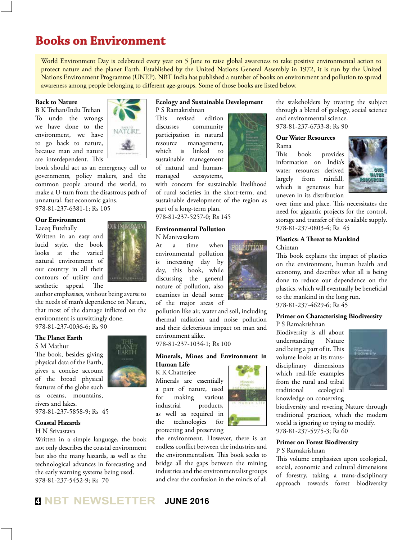## **Books on Environment**

World Environment Day is celebrated every year on 5 June to raise global awareness to take positive environmental action to protect nature and the planet Earth. Established by the United Nations General Assembly in 1972, it is run by the United Nations Environment Programme (UNEP). NBT India has published a number of books on environment and pollution to spread awareness among people belonging to different age-groups. Some of those books are listed below.

#### **Back to Nature**

B K Trehan/Indu Trehan To undo the wrongs we have done to the environment, we have to go back to nature, because man and nature are interdependent. This



book should act as an emergency call to governments, policy makers, and the common people around the world, to make a U-turn from the disastrous path of unnatural, fast economic gains. 978-81-237-6381-1; Rs 105

#### **Our Environment**

#### Laeeq Futehally

Written in an easy and lucid style, the book looks at the varied natural environment of our country in all their contours of utility and aesthetic appeal. The



author emphasises, without being averse to the needs of man's dependence on Nature, that most of the damage inflicted on the environment is unwittingly done. 978-81-237-0036-6; Rs 90

#### **The Planet Earth**

#### S M Mathur

The book, besides giving physical data of the Earth, gives a concise account of the broad physical features of the globe such as oceans, mountains, rivers and lakes. 978-81-237-5858-9; Rs 45

#### **Coastal Hazards**

H N Srivastava

Written in a simple language, the book not only describes the coastal environment but also the many hazards, as well as the technological advances in forecasting and the early warning systems being used. 978-81-237-5452-9; Rs 70

#### **Ecology and Sustainable Development** P S Ramakrishnan

This revised edition discusses community participation in natural resource management, which is linked to sustainable management of natural and humanmanaged ecosystems,

with concern for sustainable livelihood of rural societies in the short-term, and sustainable development of the region as part of a long-term plan. 978-81-237-5257-0; Rs 145

#### **Environmental Pollution**

N Manivasakam

At a time when environmental pollution is increasing day by day, this book, while discussing the general nature of pollution, also examines in detail some of the major areas of

pollution like air, water and soil, including thermal radiation and noise pollution and their deleterious impact on man and environment alike.

#### 978-81-237-1034-1; Rs 100

#### **Minerals, Mines and Environment in Human Life**

K K Chatterjee

Minerals are essentially a part of nature, used for making various industrial products, as well as required in the technologies for protecting and preserving



the environment. However, there is an endless conflict between the industries and the environmentalists. This book seeks to bridge all the gaps between the mining industries and the environmentalist groups and clear the confusion in the minds of all



**FFION** 

the stakeholders by treating the subject through a blend of geology, social science and environmental science. 978-81-237-6733-8; Rs 90

#### **Our Water Resources** Rama

This book provides information on India's water resources derived largely from rainfall, which is generous but uneven in its distribution



over time and place. This necessitates the need for gigantic projects for the control, storage and transfer of the available supply. 978-81-237-0803-4; Rs 45

#### **Plastics: A Threat to Mankind** Chintan

This book explains the impact of plastics on the environment, human health and economy, and describes what all is being done to reduce our dependence on the plastics, which will eventually be beneficial to the mankind in the long run.

978-81-237-4629-6; Rs 45

#### **Primer on Characterising Biodiversity**

P S Ramakrishnan

Biodiversity is all about understanding Nature and being a part of it. This volume looks at its transdisciplinary dimensions which real-life examples from the rural and tribal traditional ecological knowledge on conserving



biodiversity and revering Nature through traditional practices, which the modern world is ignoring or trying to modify. 978-81-237-5975-3; Rs 60

#### **Primer on Forest Biodiversity** P S Ramakrishnan

This volume emphasizes upon ecological, social, economic and cultural dimensions of forestry, taking a trans-disciplinary approach towards forest biodiversity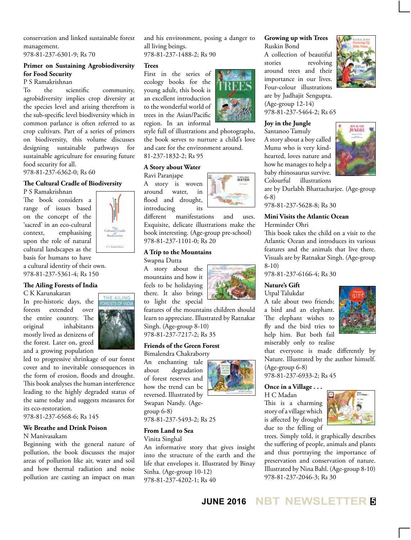conservation and linked sustainable forest management.

978-81-237-6301-9; Rs 70

#### **Primer on Sustaining Agrobiodiversity for Food Security**

P S Ramakrishnan

To the scientific community, agrobidiversity implies crop diversity at the species level and arising therefrom is the sub-specific level biodiversity which in common parlance is often referred to as crop cultivars. Part of a series of primers on biodiversity, this volume discusses designing sustainable pathways for sustainable agriculture for ensuring future food security for all.

978-81-237-6362-0; Rs 60

#### **The Cultural Cradle of Biodiversity**

P S Ramakrishnan

The book considers a range of issues based on the concept of the 'sacred' in an eco-cultural context, emphasising upon the role of natural cultural landscapes as the basis for humans to have

a cultural identity of their own. 978-81-237-5361-4; Rs 150

#### **The Ailing Forests of India**

C K Karunakaran

In pre-historic days, the forests extended over the entire country. The original inhabitants mostly lived as denizens of the forest. Later on, greed and a growing population



 $153 - 14$ 

led to progressive shrinkage of our forest cover and to inevitable consequences in the form of erosion, floods and drought. This book analyses the human interference leading to the highly degraded status of the same today and suggests measures for its eco-restoration.

978-81-237-6568-6; Rs 145

#### **We Breathe and Drink Poison**

#### N Manivasakam

Beginning with the general nature of pollution, the book discusses the major areas of pollution like air, water and soil and how thermal radiation and noise pollution are casting an impact on man

and his environment, posing a danger to all living beings.

978-81-237-1488-2; Rs 90

#### **Trees**

First in the series of ecology books for the young adult, this book is an excellent introduction to the wonderful world of trees in the Asian/Pacific region. In an informal



style full of illustrations and photographs, the book serves to nurture a child's love and care for the environment around. 81-237-1832-2; Rs 95

#### **A Story about Water**

Ravi Paranjape A story is woven around water, in flood and drought,

introducing its different manifestations and uses. Exquisite, delicate illustrations make the

book interesting. (Age-group pre-school) 978-81-237-1101-0; Rs 20

#### **A Trip to the Mountains**

Swapna Dutta

A story about the mountains and how it feels to be holidaying there. It also brings to light the special



features of the mountains children should learn to appreciate. Illustrated by Ratnakar Singh. (Age-group 8-10) 978-81-237-7217-2; Rs 35

#### **Friends of the Green Forest**

Bimalendra Chakraborty An enchanting tale about degradation of forest reserves and how the trend can be reversed. Illustrated by Swapan Nandy. (Agegroup 6-8)



978-81-237-5493-2; Rs 25

#### **From Land to Sea**

Vinita Singhal

An informative story that gives insight into the structure of the earth and the life that envelopes it. Illustrated by Binay Sinha. (Age-group 10-12) 978-81-237-4202-1; Rs 40

## **Growing up with Trees**

Ruskin Bond A collection of beautiful stories revolving around trees and their importance in our lives. Four-colour illustrations are by Judhajit Sengupta. (Age-group 12-14) 978-81-237-5464-2; Rs 65



**Joy in the Jungle**

Santanoo Tamuly A story about a boy called Munu who is very kindhearted, loves nature and how he manages to help a baby rhinosaurus survive. Colourful illustrations



are by Durlabh Bhattacharjee. (Age-group 6-8)

978-81-237-5628-8; Rs 30

#### **Mini Visits the Atlantic Ocean**

Herminder Ohri

This book takes the child on a visit to the Atlantic Ocean and introduces its various features and the animals that live there. Visuals are by Ratnakar Singh. (Age-group 8-10)

978-81-237-6166-4; Rs 30

#### **Nature's Gift**

Utpal Talukdar

A tale about two friends; a bird and an elephant. The elephant wishes to fly and the bird tries to help him. But both fail miserably only to realise



that everyone is made differently by Nature. Illustrated by the author himself. (Age-group 6-8)

978-81-237-6933-2; Rs 45

#### **Once in a Village . . .**

H C Madan This is a charming story of a village which is affected by drought due to the felling of



trees. Simply told, it graphically describes the suffering of people, animals and plants and thus portraying the importance of preservation and conservation of nature. Illustrated by Nina Bahl. (Age-group 8-10) 978-81-237-2046-3; Rs 30

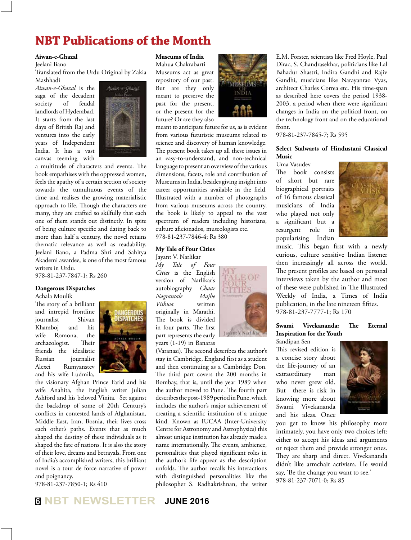## **NBT Publications of the Month**

#### **Aiwan-e-Ghazal**

Jeelani Bano

Translated from the Urdu Original by Zakia Mashhadi

*Aiwan-e-Ghazal* is the saga of the decadent society of feudal landlords of Hyderabad. It starts from the last days of British Raj and ventures into the early years of Independent India. It has a vast canvas teeming with



a multitude of characters and events. The book empathises with the oppressed women, feels the apathy of a certain section of society towards the tumultuous events of the time and realises the growing materialistic approach to life. Though the characters are many, they are crafted so skilfully that each one of them stands out distinctly. In spite of being culture specific and dating back to more than half a century, the novel retains thematic relevance as well as readability. Jeelani Bano, a Padma Shri and Sahitya Akademi awardee, is one of the most famous writers in Urdu.

978-81-237-7847-1; Rs 260

#### **Dangerous Dispatches**

Achala Moulik

The story of a brilliant and intrepid frontline journalist Shivan Khamboj and his wife Romona, the archaeologist. Their friends the idealistic Russian journalist Alexei Rumyanstev and his wife Ludmila,



the visionary Afghan Prince Farid and his wife Anahita, the English writer Julian Ashford and his beloved Vinita. Set against the backdrop of some of 20th Century's conflicts in contested lands of Afghanistan, Middle East, Iran, Bosnia, their lives cross each other's paths. Events that as much shaped the destiny of these individuals as it shaped the fate of nations. It is also the story of their love, dreams and betrayals. From one of India's accomplished writers, this brilliant novel is a tour de force narrative of power and poignancy.

978-81-237-7850-1; Rs 410

#### **Museums of India**

Mahua Chakrabarti Museums act as great repository of our past. But are they only meant to preserve the past for the present, or the present for the future? Or are they also



meant to anticipate future for us, as is evident from various futuristic museums related to science and discovery of human knowledge. The present book takes up all these issues in an easy-to-understand, and non-technical language to present an overview of the various dimensions, facets, role and contribution of Museums in India, besides giving insight into career opportunities available in the field. Illustrated with a number of photographs from various museums across the country, the book is likely to appeal to the vast spectrum of readers including historians, culture aficionados, museologists etc. 978-81-237-7846-4; Rs 380

#### **My Tale of Four Cities**

Jayant V. Narlikar *My Tale of Four Cities* is the English version of Narlikar's autobiography *Chaar Nagrantale Majhe Vishwa* written originally in Marathi. The book is divided in four parts. The first part represents the early years (1-19) in Banaras



Jayant V Natlikar



front.

**Music** Uma Vasudev

978-81-237-7845-7; Rs 595

The book consists of short but rare



music. This began first with a newly curious, culture sensitive Indian listener then increasingly all across the world. The present profiles are based on personal interviews taken by the author and most of these were published in The Illustrated Weekly of India, a Times of India publication, in the late nineteen fifties. 978-81-237-7777-1; Rs 170

E.M. Forster, scientists like Fred Hoyle, Paul Dirac, S. Chandrasekhar, politicians like Lal Bahadur Shastri, Indira Gandhi and Rajiv Gandhi, musicians like Narayanrao Vyas, architect Charles Correa etc. His time-span as described here covers the period 1938- 2003, a period when there were significant changes in India on the political front, on the technology front and on the educational

**Select Stalwarts of Hindustani Classical** 

#### **Swami Vivekananda: The Eternal Inspiration for the Youth**

Sandipan Sen This revised edition is a concise story about the life-journey of an extraordinary man who never grew old. But there is risk in knowing more about Swami Vivekananda and his ideas. Once



you get to know his philosophy more intimately, you have only two choices left: either to accept his ideas and arguments or reject them and provide stronger ones. They are sharp and direct. Vivekananda didn't like armchair activism. He would say, 'Be the change you want to see.' 978-81-237-7071-0; Rs 85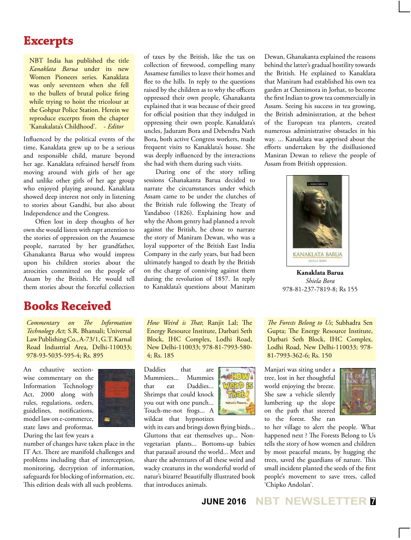## **Excerpts**

NBT India has published the title *Kanaklata Barua* under its new Women Pioneers series. Kanaklata was only seventeen when she fell to the bullets of brutal police firing while trying to hoist the tricolour at the Gohpur Police Station. Herein we reproduce excerpts from the chapter 'Kanakalata's Childhood'. - *Editor*

Influenced by the political events of the time, Kanaklata grew up to be a serious and responsible child, mature beyond her age. Kanaklata refrained herself from moving around with girls of her age and unlike other girls of her age group who enjoyed playing around, Kanaklata showed deep interest not only in listening to stories about Gandhi, but also about Independence and the Congress.

Often lost in deep thoughts of her own she would listen with rapt attention to the stories of oppression on the Assamese people, narrated by her grandfather, Ghanakanta Barua who would impress upon his children stories about the atrocities committed on the people of Assam by the British. He would tell them stories about the forceful collection

## **Books Received**

*Commentary on The Information Technology Act*; S.R. Bhansali; Universal Law Publishing Co., A-73/1, G.T. Karnal Road Industrial Area, Delhi-110033; 978-93-5035-595-4; Rs. 895

An exhautive sectionwise commentary on the Information Technology Act, 2000 along with rules, regulations, orders, guidelines, notifications, model law on e-commerce, state laws and proformas. During the last few years a



number of changes have taken place in the IT Act. There are manifold challenges and problems including that of interception, monitoring, decryption of information, safeguards for blocking of information, etc. This edition deals with all such problems.

of taxes by the British, like the tax on collection of firewood, compelling many Assamese families to leave their homes and flee to the hills. In reply to the questions raised by the children as to why the officers oppressed their own people, Ghanakanta explained that it was because of their greed for official position that they indulged in oppressing their own people. Kanaklata's uncles, Jaduram Bora and Debendra Nath Bora, both active Congress workers, made frequent visits to Kanaklata's house. She was deeply influenced by the interactions she had with them during such visits.

During one of the story telling sessions Ghanakanta Barua decided to narrate the circumstances under which Assam came to be under the clutches of the British rule following the Treaty of Yandaboo (1826). Explaining how and why the Ahom gentry had planned a revolt against the British, he chose to narrate the story of Maniram Dewan, who was a loyal supporter of the British East India Company in the early years, but had been ultimately hanged to death by the British on the charge of conniving against them during the revolution of 1857. In reply to Kanaklata's questions about Maniram

*How Weird is That*; Ranjit Lal; The Energy Resource Institute, Darbari Seth Block, IHC Complex, Lodhi Road, New Delhi-110033; 978-81-7993-580- 4; Rs. 185

Daddies that are Mummiees... Mummies that eat Daddies... Shrimps that could knock you out with one punch... Touch-me-not frogs... A wildcat that hypnotizes

with its ears and brings down flying birds... Gluttons that eat themselves up... Nonvegetarian plants... Bottoms-up babies that parasail around the world... Meet and share the adventures of all these weird and wacky creatures in the wonderful world of natur's bizarre! Beautifully illustrated book that introduces animals.



Manjari was siting under a tree, lost in her thoughtful world enjoying the breeze.

on the path that steered

She saw a vehicle silently lumbering up the slope



to the forest. She ran to her village to alert the people. What happened next ? The Forests Belong to Us tells the story of how women and children by most peaceful means, by hugging the trees, saved the guardians of nature. This small incident planted the seeds of the first people's movement to save trees, called 'Chipko Andolan'.

Dewan, Ghanakanta explained the reasons behind the latter's gradual hostility towards the British. He explained to Kanaklata that Maniram had established his own tea garden at Chenimora in Jorhat, to become the first Indian to grow tea commercially in Assam. Seeing his success in tea growing, the British administration, at the behest of the European tea planters, created numerous administrative obstacles in his way. ... Kanaklata was apprised about the efforts undertaken by the disillusioned Maniran Dewan to relieve the people of Assam from British oppression.



**Kanaklata Barua** *Shiela Bora* 978-81-237-7819-8; Rs 155

*The Forests Belong to Us*; Subhadra Sen Gupta; The Energy Resource Institute, Darbari Seth Block, IHC Complex, Lodhi Road, New Delhi-110033; 978- 81-7993-362-6; Rs. 150

**JUNE 2016 NBT NEWSLETTER <sup>7</sup>**